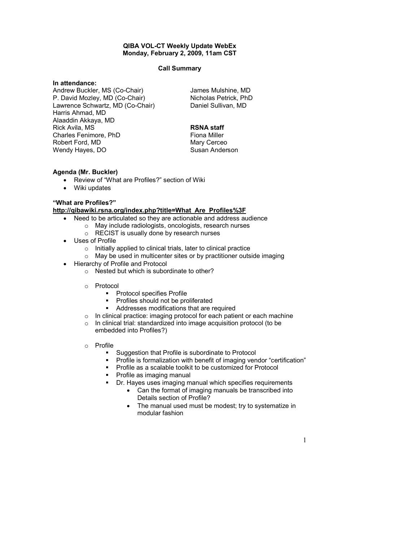### QIBA VOL-CT Weekly Update WebEx Monday, February 2, 2009, 11am CST

### Call Summary

# In attendance:

Andrew Buckler, MS (Co-Chair) P. David Mozley, MD (Co-Chair) Lawrence Schwartz, MD (Co-Chair) Harris Ahmad, MD Alaaddin Akkaya, MD Rick Avila, MS Charles Fenimore, PhD Robert Ford, MD Wendy Hayes, DO

James Mulshine, MD Nicholas Petrick, PhD Daniel Sullivan, MD

## RSNA staff

Fiona Miller Mary Cerceo Susan Anderson

# Agenda (Mr. Buckler)

- Review of "What are Profiles?" section of Wiki
- Wiki updates

## "What are Profiles?"

## http://qibawiki.rsna.org/index.php?title=What\_Are\_Profiles%3F

- Need to be articulated so they are actionable and address audience
	- o May include radiologists, oncologists, research nurses
	- o RECIST is usually done by research nurses
- Uses of Profile
	- o Initially applied to clinical trials, later to clinical practice
	- $\circ$  May be used in multicenter sites or by practitioner outside imaging
- Hierarchy of Profile and Protocol
	- o Nested but which is subordinate to other?
	- o Protocol
		- **•** Protocol specifies Profile
		- **Profiles should not be proliferated**<br> **Addresses modifications that are r**
		- Addresses modifications that are required
	- o In clinical practice: imaging protocol for each patient or each machine
	- o In clinical trial: standardized into image acquisition protocol (to be embedded into Profiles?)
	- o Profile
		- **Suggestion that Profile is subordinate to Protocol**
		- **Profile is formalization with benefit of imaging vendor "certification"**
		- **Profile as a scalable toolkit to be customized for Protocol**
		- Profile as imaging manual
		- **Dr.** Hayes uses imaging manual which specifies requirements
			- Can the format of imaging manuals be transcribed into Details section of Profile?
			- The manual used must be modest; try to systematize in modular fashion